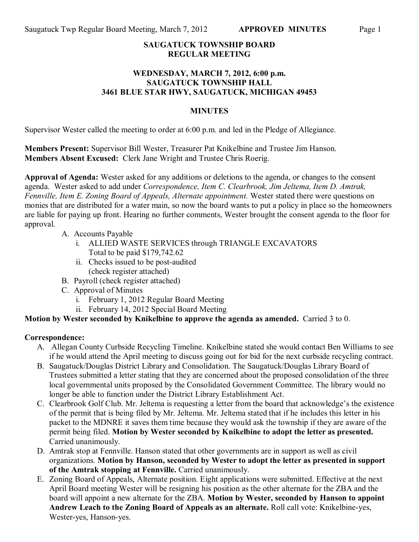### **SAUGATUCK TOWNSHIP BOARD REGULAR MEETING**

#### **WEDNESDAY, MARCH 7, 2012, 6:00 p.m. SAUGATUCK TOWNSHIP HALL 3461 BLUE STAR HWY, SAUGATUCK, MICHIGAN 49453**

### **MINUTES**

Supervisor Wester called the meeting to order at 6:00 p.m. and led in the Pledge of Allegiance.

**Members Present:** Supervisor Bill Wester, Treasurer Pat Knikelbine and Trustee Jim Hanson. **Members Absent Excused:** Clerk Jane Wright and Trustee Chris Roerig.

**Approval of Agenda:** Wester asked for any additions or deletions to the agenda, or changes to the consent agenda. Wester asked to add under *Correspondence, Item C. Clearbrook, Jim Jeltema, Item D. Amtrak, Fennville, Item E. Zoning Board of Appeals, Alternate appointment.* Wester stated there were questions on monies that are distributed for a water main, so now the board wants to put a policy in place so the homeowners are liable for paying up front. Hearing no further comments, Wester brought the consent agenda to the floor for approval.

- A. Accounts Payable
	- i. ALLIED WASTE SERVICES through TRIANGLE EXCAVATORS Total to be paid \$179,742.62
	- ii. Checks issued to be post-audited (check register attached)
- B. Payroll (check register attached)
- C. Approval of Minutes
	- i. February 1, 2012 Regular Board Meeting
	- ii. February 14, 2012 Special Board Meeting

# **Motion by Wester seconded by Knikelbine to approve the agenda as amended.** Carried 3 to 0.

# **Correspondence:**

- A. Allegan County Curbside Recycling Timeline. Knikelbine stated she would contact Ben Williams to see if he would attend the April meeting to discuss going out for bid for the next curbside recycling contract.
- B. Saugatuck/Douglas District Library and Consolidation. The Saugatuck/Douglas Library Board of Trustees submitted a letter stating that they are concerned about the proposed consolidation of the three local governmental units proposed by the Consolidated Government Committee. The library would no longer be able to function under the District Library Establishment Act.
- C. Clearbrook Golf Club. Mr. Jeltema is requesting a letter from the board that acknowledge's the existence of the permit that is being filed by Mr. Jeltema. Mr. Jeltema stated that if he includes this letter in his packet to the MDNRE it saves them time because they would ask the township if they are aware of the permit being filed. **Motion by Wester seconded by Knikelbine to adopt the letter as presented.**  Carried unanimously.
- D. Amtrak stop at Fennville. Hanson stated that other governments are in support as well as civil organizations. **Motion by Hanson, seconded by Wester to adopt the letter as presented in support of the Amtrak stopping at Fennville.** Carried unanimously.
- E. Zoning Board of Appeals, Alternate position. Eight applications were submitted. Effective at the next April Board meeting Wester will be resigning his position as the other alternate for the ZBA and the board will appoint a new alternate for the ZBA. **Motion by Wester, seconded by Hanson to appoint Andrew Leach to the Zoning Board of Appeals as an alternate.** Roll call vote: Knikelbine-yes, Wester-yes, Hanson-yes.